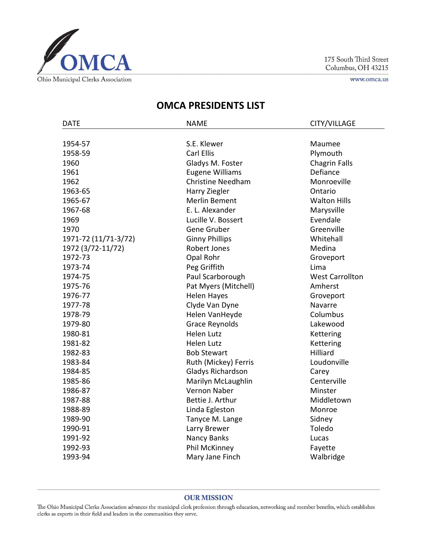

175 South Third Street Columbus, OH 43215

www.omca.us

## **OMCA PRESIDENTS LIST**

| <b>DATE</b>          | <b>NAME</b>              | CITY/VILLAGE           |
|----------------------|--------------------------|------------------------|
|                      |                          |                        |
| 1954-57              | S.E. Klewer              | Maumee                 |
| 1958-59              | <b>Carl Ellis</b>        | Plymouth               |
| 1960                 | Gladys M. Foster         | <b>Chagrin Falls</b>   |
| 1961                 | <b>Eugene Williams</b>   | Defiance               |
| 1962                 | <b>Christine Needham</b> | Monroeville            |
| 1963-65              | Harry Ziegler            | Ontario                |
| 1965-67              | <b>Merlin Bement</b>     | <b>Walton Hills</b>    |
| 1967-68              | E. L. Alexander          | Marysville             |
| 1969                 | Lucille V. Bossert       | Evendale               |
| 1970                 | Gene Gruber              | Greenville             |
| 1971-72 (11/71-3/72) | <b>Ginny Phillips</b>    | Whitehall              |
| 1972 (3/72-11/72)    | <b>Robert Jones</b>      | Medina                 |
| 1972-73              | Opal Rohr                | Groveport              |
| 1973-74              | Peg Griffith             | Lima                   |
| 1974-75              | Paul Scarborough         | <b>West Carrollton</b> |
| 1975-76              | Pat Myers (Mitchell)     | Amherst                |
| 1976-77              | <b>Helen Hayes</b>       | Groveport              |
| 1977-78              | Clyde Van Dyne           | Navarre                |
| 1978-79              | Helen VanHeyde           | Columbus               |
| 1979-80              | <b>Grace Reynolds</b>    | Lakewood               |
| 1980-81              | <b>Helen Lutz</b>        | Kettering              |
| 1981-82              | <b>Helen Lutz</b>        | Kettering              |
| 1982-83              | <b>Bob Stewart</b>       | <b>Hilliard</b>        |
| 1983-84              | Ruth (Mickey) Ferris     | Loudonville            |
| 1984-85              | Gladys Richardson        | Carey                  |
| 1985-86              | Marilyn McLaughlin       | Centerville            |
| 1986-87              | Vernon Naber             | Minster                |
| 1987-88              | Bettie J. Arthur         | Middletown             |
| 1988-89              | Linda Egleston           | Monroe                 |
| 1989-90              | Tanyce M. Lange          | Sidney                 |
| 1990-91              | Larry Brewer             | Toledo                 |
| 1991-92              | Nancy Banks              | Lucas                  |
| 1992-93              | Phil McKinney            | Fayette                |
| 1993-94              | Mary Jane Finch          | Walbridge              |

## **OUR MISSION**

The Ohio Municipal Clerks Association advances the municipal clerk profession through education, networking and member benefits, which establishes clerks as experts in their field and leaders in the communities they serve.